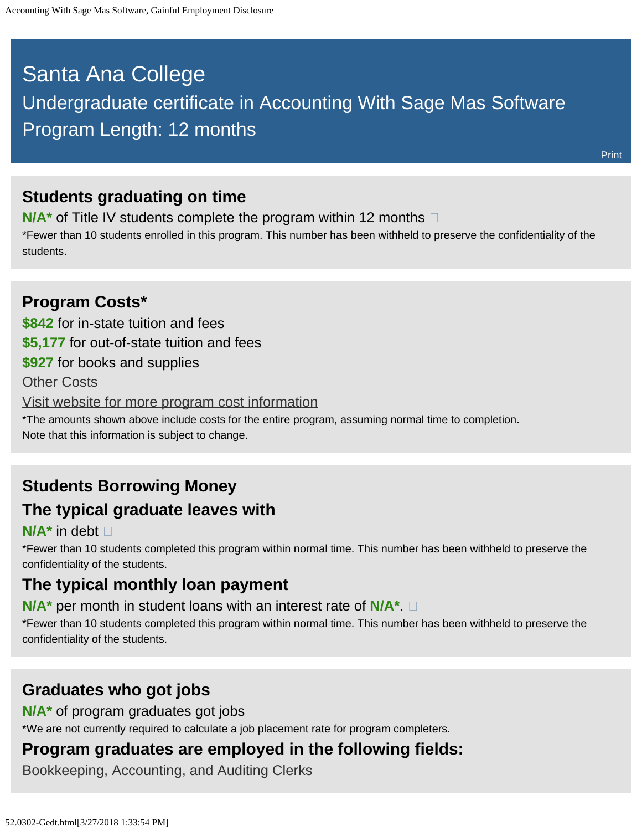# <span id="page-0-0"></span>Santa Ana College Undergraduate certificate in Accounting With Sage Mas Software Program Length: 12 months

### **Students graduating on time**

**N/A<sup>\*</sup>** of Title IV students complete the program within 12 months  $\Box$ 

\*Fewer than 10 students enrolled in this program. This number has been withheld to preserve the confidentiality of the students.

#### **Program Costs\* \$842** for in-state tuition and fees **\$5,177** for out-of-state tuition and fees **\$927** for books and supplies [Other Costs](#page-0-0) [Visit website for more program cost information](https://www.sac.edu/AcademicProgs/Business/Pages/Gainful-Employment.aspx) \*The amounts shown above include costs for the entire program, assuming normal time to completion. Note that this information is subject to change.

# **Students Borrowing Money The typical graduate leaves with**

#### **N/A\*** in debt

\*Fewer than 10 students completed this program within normal time. This number has been withheld to preserve the confidentiality of the students.

### **The typical monthly loan payment**

**N/A\*** per month in student loans with an interest rate of **N/A\***.

\*Fewer than 10 students completed this program within normal time. This number has been withheld to preserve the confidentiality of the students.

# **Graduates who got jobs**

**N/A\*** of program graduates got jobs

\*We are not currently required to calculate a job placement rate for program completers.

### **Program graduates are employed in the following fields:**

[Bookkeeping, Accounting, and Auditing Clerks](http://online.onetcenter.org/link/summary/43-3031.00)